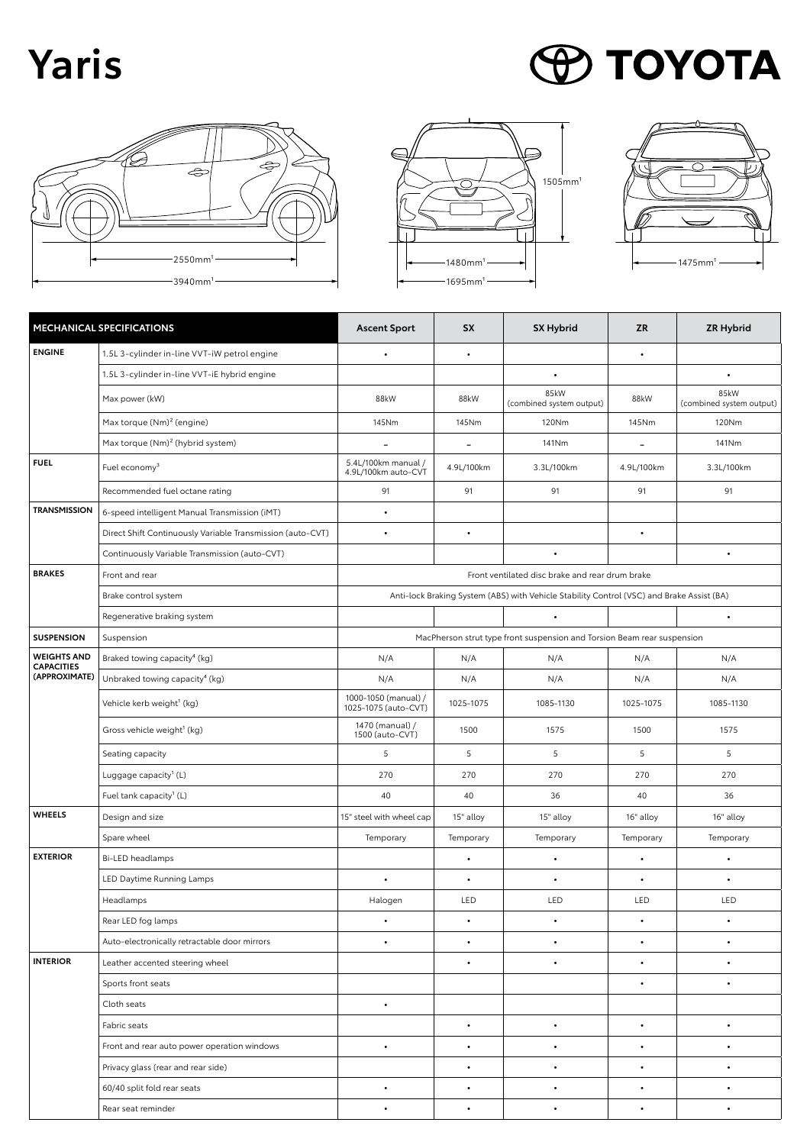## **Yaris**

## **PO TOYOTA**







|                                                          | MECHANICAL SPECIFICATIONS                                  | <b>Ascent Sport</b>                                                                       | <b>SX</b>  | <b>SX Hybrid</b>                 | <b>ZR</b>  | <b>ZR Hybrid</b>                 |  |  |  |
|----------------------------------------------------------|------------------------------------------------------------|-------------------------------------------------------------------------------------------|------------|----------------------------------|------------|----------------------------------|--|--|--|
| <b>ENGINE</b>                                            | 1.5L 3-cylinder in-line VVT-iW petrol engine               |                                                                                           |            |                                  | $\bullet$  |                                  |  |  |  |
|                                                          | 1.5L 3-cylinder in-line VVT-iE hybrid engine               |                                                                                           |            | $\bullet$                        |            | $\bullet$                        |  |  |  |
|                                                          | Max power (kW)                                             | 88kW                                                                                      | 88kW       | 85kW<br>(combined system output) | 88kW       | 85kW<br>(combined system output) |  |  |  |
|                                                          | Max torque $(Nm)^2$ (engine)                               | 145Nm                                                                                     | 145Nm      | 120Nm                            | 145Nm      | 120Nm                            |  |  |  |
|                                                          | Max torque (Nm) <sup>2</sup> (hybrid system)               | $\overline{\phantom{a}}$                                                                  |            | 141Nm                            |            | 141Nm                            |  |  |  |
| <b>FUEL</b>                                              | Fuel economy <sup>3</sup>                                  | 5.4L/100km manual /<br>4.9L/100km auto-CVT                                                | 4.9L/100km | 3.3L/100km                       | 4.9L/100km | 3.3L/100km                       |  |  |  |
|                                                          | Recommended fuel octane rating                             | 91                                                                                        | 91         | 91                               | 91         | 91                               |  |  |  |
| <b>TRANSMISSION</b>                                      | 6-speed intelligent Manual Transmission (iMT)              | $\bullet$                                                                                 |            |                                  |            |                                  |  |  |  |
|                                                          | Direct Shift Continuously Variable Transmission (auto-CVT) | $\bullet$                                                                                 | ٠          |                                  | $\bullet$  |                                  |  |  |  |
|                                                          | Continuously Variable Transmission (auto-CVT)              |                                                                                           |            | $\bullet$                        |            | $\bullet$                        |  |  |  |
| <b>BRAKES</b>                                            | Front and rear                                             | Front ventilated disc brake and rear drum brake                                           |            |                                  |            |                                  |  |  |  |
|                                                          | Brake control system                                       | Anti-lock Braking System (ABS) with Vehicle Stability Control (VSC) and Brake Assist (BA) |            |                                  |            |                                  |  |  |  |
|                                                          | Regenerative braking system                                |                                                                                           |            | $\bullet$                        |            | $\bullet$                        |  |  |  |
| <b>SUSPENSION</b>                                        | Suspension                                                 | MacPherson strut type front suspension and Torsion Beam rear suspension                   |            |                                  |            |                                  |  |  |  |
| <b>WEIGHTS AND</b><br><b>CAPACITIES</b><br>(APPROXIMATE) | Braked towing capacity <sup>4</sup> (kg)                   | N/A                                                                                       | N/A        | N/A                              | N/A        | N/A                              |  |  |  |
|                                                          | Unbraked towing capacity <sup>4</sup> (kg)                 | N/A                                                                                       | N/A        | N/A                              | N/A        | N/A                              |  |  |  |
|                                                          | Vehicle kerb weight <sup>1</sup> (kg)                      | 1000-1050 (manual) /<br>1025-1075 (auto-CVT)                                              | 1025-1075  | 1085-1130                        | 1025-1075  | 1085-1130                        |  |  |  |
|                                                          | Gross vehicle weight <sup>1</sup> (kg)                     | 1470 (manual) /<br>1500 (auto-CVT)                                                        | 1500       | 1575                             | 1500       | 1575                             |  |  |  |
|                                                          | Seating capacity                                           | 5                                                                                         | 5          | 5                                | 5          | 5                                |  |  |  |
|                                                          | Luggage capacity <sup>1</sup> (L)                          | 270                                                                                       | 270        | 270                              | 270        | 270                              |  |  |  |
|                                                          | Fuel tank capacity <sup>1</sup> (L)                        | 40                                                                                        | 40         | 36                               | 40         | 36                               |  |  |  |
| <b>WHEELS</b>                                            | Design and size                                            | 15" steel with wheel cap                                                                  | 15" alloy  | 15" alloy                        | 16" alloy  | 16" alloy                        |  |  |  |
|                                                          | Spare wheel                                                | Temporary                                                                                 | Temporary  | Temporary                        | Temporary  | Temporary                        |  |  |  |
| <b>EXTERIOR</b>                                          | Bi-LED headlamps                                           |                                                                                           | $\bullet$  | $\bullet$                        | $\bullet$  | $\bullet$                        |  |  |  |
|                                                          | LED Daytime Running Lamps                                  | $\bullet$                                                                                 | $\bullet$  | $\bullet$                        | $\bullet$  | $\bullet$                        |  |  |  |
|                                                          | Headlamps                                                  | Halogen                                                                                   | LED        | LED                              | LED        | LED                              |  |  |  |
|                                                          | Rear LED fog lamps                                         |                                                                                           |            |                                  | ٠          |                                  |  |  |  |
|                                                          | Auto-electronically retractable door mirrors               |                                                                                           | ٠          | $\bullet$                        | ٠          |                                  |  |  |  |
| <b>INTERIOR</b>                                          | Leather accented steering wheel                            |                                                                                           | $\bullet$  | $\bullet$                        | $\bullet$  | $\bullet$                        |  |  |  |
|                                                          | Sports front seats                                         |                                                                                           |            |                                  | $\bullet$  | $\bullet$                        |  |  |  |
|                                                          | Cloth seats                                                | $\bullet$                                                                                 |            |                                  |            |                                  |  |  |  |
|                                                          | Fabric seats                                               |                                                                                           | $\bullet$  | $\bullet$                        | $\bullet$  | $\bullet$                        |  |  |  |
|                                                          | Front and rear auto power operation windows                | $\bullet$                                                                                 | $\bullet$  | $\bullet$                        | $\bullet$  | $\bullet$                        |  |  |  |
|                                                          | Privacy glass (rear and rear side)                         |                                                                                           | ٠          | $\bullet$                        | $\bullet$  | $\bullet$                        |  |  |  |
|                                                          | 60/40 split fold rear seats                                | $\bullet$                                                                                 | $\bullet$  | $\bullet$                        | $\bullet$  |                                  |  |  |  |
|                                                          | Rear seat reminder                                         | $\bullet$                                                                                 | $\bullet$  | $\bullet$                        | ٠          |                                  |  |  |  |